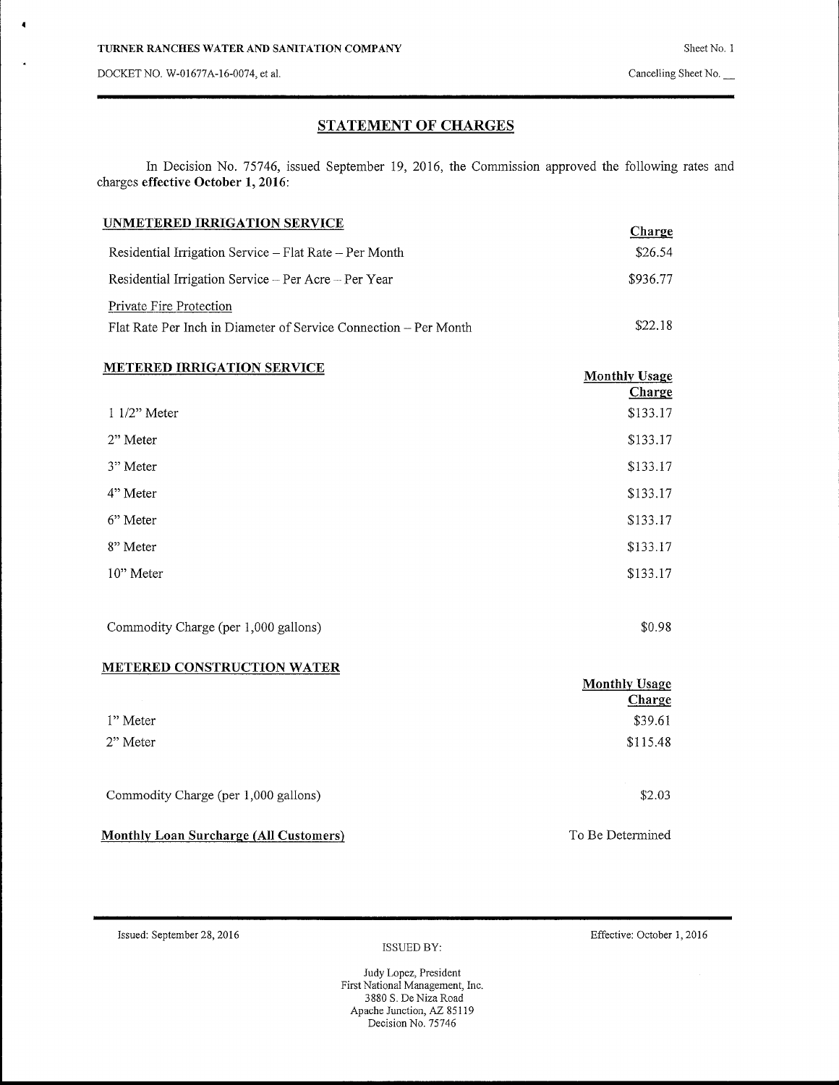DOCKET NO, W-01677A-16-0074, et al.

4

4

## **STATEMENT OF** CHARGES

In Decision No. 75746, issued September 19, 2016, the Commission approved the following rates and charges effective October 1, 2016:

| UNMETERED IRRIGATION SERVICE                                     | Charge   |
|------------------------------------------------------------------|----------|
| Residential Irrigation Service – Flat Rate – Per Month           | \$26.54  |
| Residential Irrigation Service - Per Acre - Per Year             | \$936.77 |
| Private Fire Protection                                          |          |
| Flat Rate Per Inch in Diameter of Service Connection – Per Month | \$22.18  |

| <b>METERED IRRIGATION SERVICE</b> | <b>Monthly Usage</b><br>Charge |
|-----------------------------------|--------------------------------|
| $11/2$ " Meter                    | \$133.17                       |
| 2" Meter                          | \$133.17                       |
| 3" Meter                          | \$133.17                       |
| 4" Meter                          | \$133.17                       |
| 6" Meter                          | \$133.17                       |
| 8" Meter                          | \$133.17                       |
| 10" Meter                         | \$133.17                       |
|                                   |                                |

Commodity Charge (per 1,000 gallons)  $$0.98$ 

### **METERED CONSTRUCTION WATER**

|                                               | <b>Monthly Usage</b><br>Charge |
|-----------------------------------------------|--------------------------------|
| 1" Meter                                      | \$39.61                        |
| 2" Meter                                      | \$115.48                       |
| Commodity Charge (per 1,000 gallons)          | \$2.03                         |
| <b>Monthly Loan Surcharge (All Customers)</b> | To Be Determined               |

Is s ued: September 28, 2016 Effective: October 1, 2016

ISSUED BY: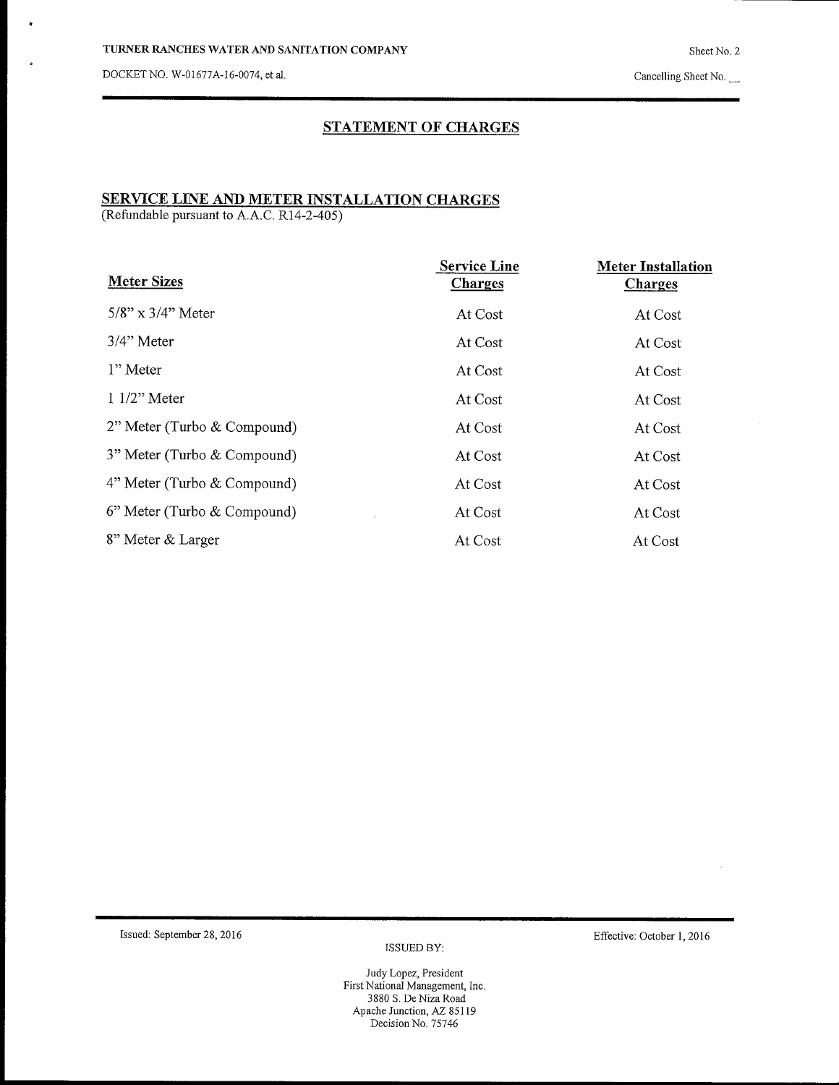DOCKET no. W-01677A-16-0074, et al.

 $\bullet$ 

# **STATEMENT OF** CHARGES

# **SERVICE LINE AND METER INSTALLATION CHARGES**

(Refundable pursuant to A.A.C. R14-2-405)

| <b>Meter Sizes</b>             | <b>Service Line</b><br><b>Charges</b> | <b>Meter Installation</b><br><b>Charges</b> |
|--------------------------------|---------------------------------------|---------------------------------------------|
| $5/8$ " x $3/4$ " Meter        | At Cost                               | At Cost                                     |
| $3/4$ " Meter                  | At Cost                               | At Cost                                     |
| 1" Meter                       | At Cost                               | At Cost                                     |
| $11/2$ " Meter                 | At Cost                               | At Cost                                     |
| 2" Meter (Turbo & Compound)    | At Cost                               | At Cost                                     |
| 3" Meter (Turbo & Compound)    | At Cost                               | At Cost                                     |
| 4" Meter (Turbo & Compound)    | At Cost                               | At Cost                                     |
| $6$ " Meter (Turbo & Compound) | At Cost                               | At Cost                                     |
| 8" Meter & Larger              | At Cost                               | At Cost                                     |

Issued: September 28, 2016 Effective: October 1, 2016

ISSUED BY: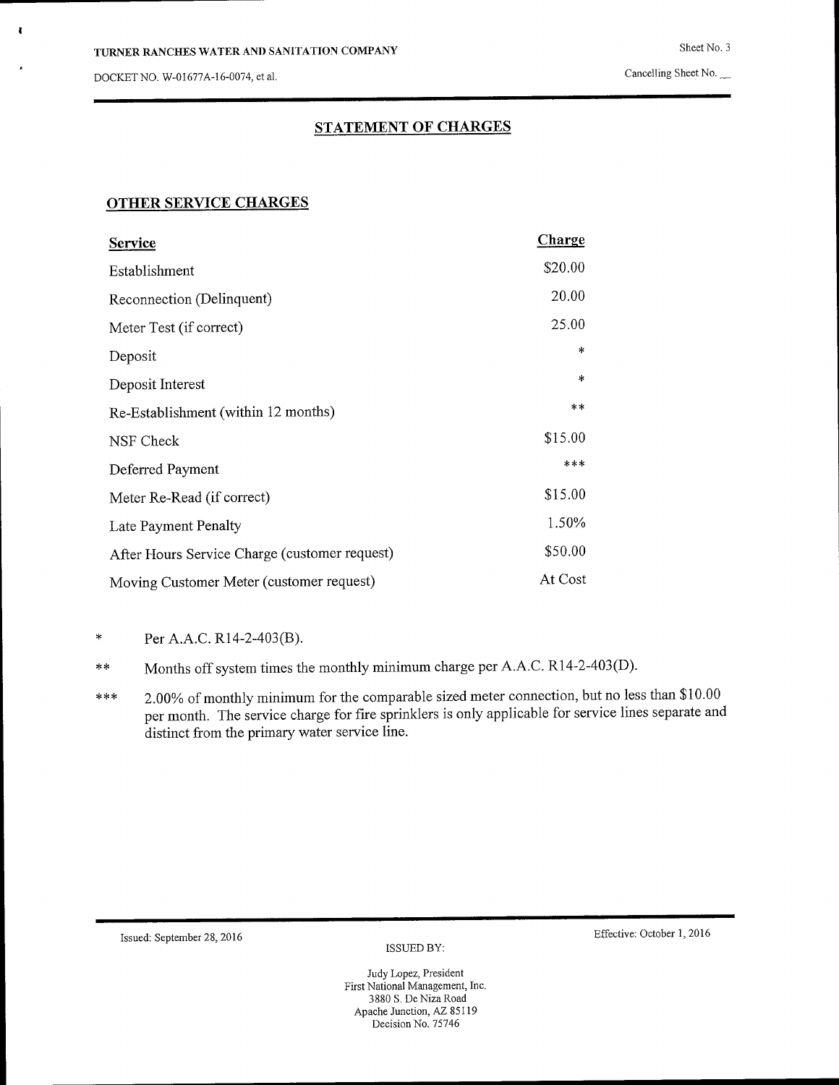DOCKET NO. W-01677A-16-0074, et al.  $\blacksquare$ 

**I**

# **STATEMENT OF CHARGES**

## **OTHER SERVICE CHARGES**

| Service                                       | Charge  |
|-----------------------------------------------|---------|
| Establishment                                 | \$20.00 |
| Reconnection (Delinquent)                     | 20.00   |
| Meter Test (if correct)                       | 25.00   |
| Deposit                                       | *       |
| Deposit Interest                              | $\ast$  |
| Re-Establishment (within 12 months)           | $**$    |
| NSF Check                                     | \$15.00 |
| Deferred Payment                              | $***$   |
| Meter Re-Read (if correct)                    | \$15.00 |
| Late Payment Penalty                          | 1.50%   |
| After Hours Service Charge (customer request) | \$50.00 |
| Moving Customer Meter (customer request)      | At Cost |

\* Per A.A.C. R14-2-403(B).

**\* \*** Months off system times the monthly minimum charge per A.A.C. R14-2-403(D).

\*\*\* 2.00% of monthly minimum for the comparable sized meter connection, but no less than \$10.00 per month. The service charge for fire sprinklers is only applicable for service lines separate and distinct from the primary water service line.

ISSUED BY:

Issued: September 28, 2016 Effective: October l, 2016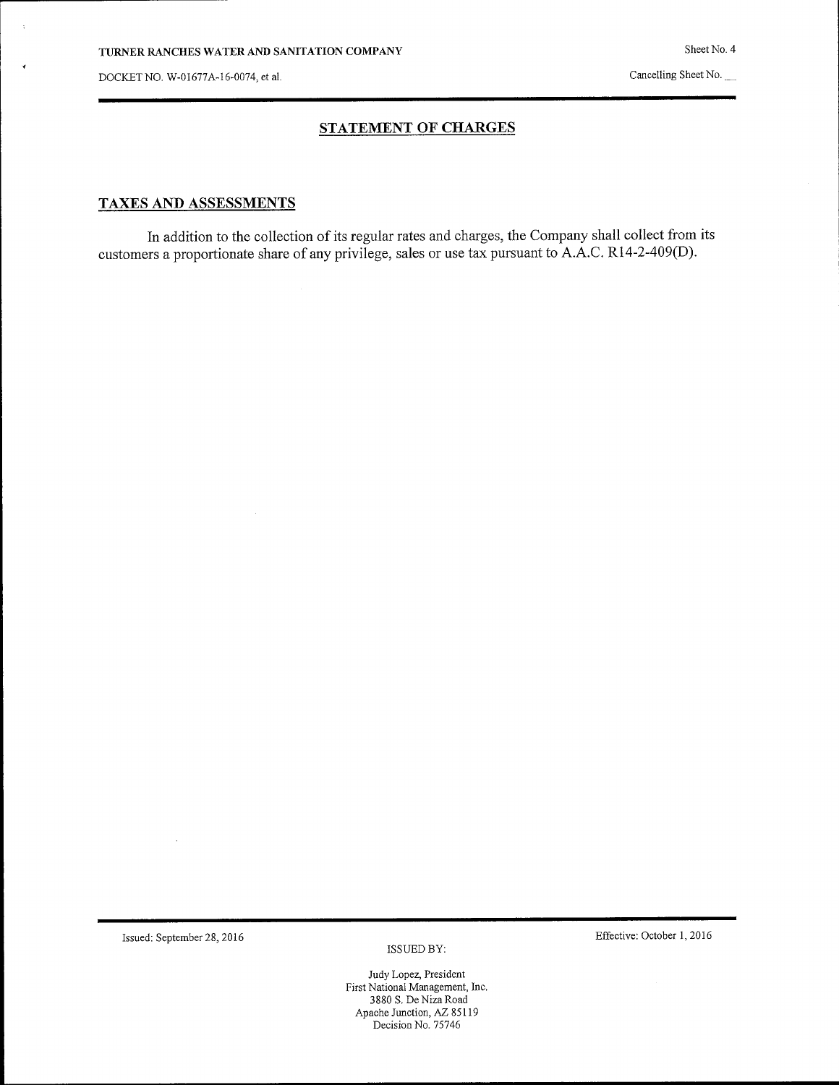÷

DOCKET NO. W-01677A-16-0074, et al.

*4*

 $\bar{z}$ 

### **STATEMENT OF CHARGES**

### TAXES AND ASSESSMENTS

In addition to the collection of its regular rates and charges, the Company shall collect from its customers a proportionate share of any privilege, sales or use tax pursuant to A.A.C. R14-2-409(D).

Is s ued: September 28, 2016 Effective: October 1, 2016

 $\cdot$ 

 $\,$  ISSUED BY:

Sheet No. 4

Cancelling Sheet No.

 $\overline{\phantom{a}}$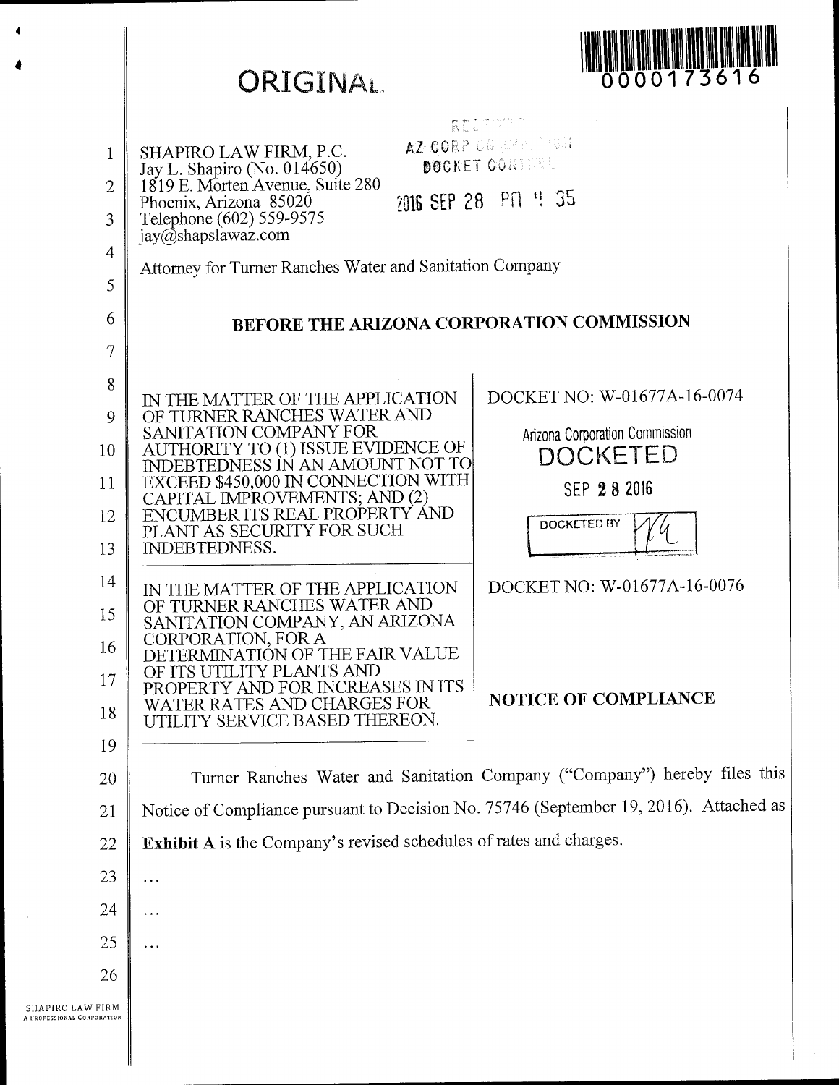|                                                                    | <b>ORIGINAL</b>                                                                                                                                                                                                                                                                                                                                                                                                                                                                            | 0000173616                                                                                                                                           |
|--------------------------------------------------------------------|--------------------------------------------------------------------------------------------------------------------------------------------------------------------------------------------------------------------------------------------------------------------------------------------------------------------------------------------------------------------------------------------------------------------------------------------------------------------------------------------|------------------------------------------------------------------------------------------------------------------------------------------------------|
| $\mathbf{1}$<br>2<br>3<br>$\overline{4}$                           | SHAPIRO LAW FIRM, P.C.<br>Jay L. Shapiro (No. 014650)<br>1819 E. Morten Avenue, Suite 280<br>Phoenix, Arizona 85020<br>Telephone (602) 559-9575<br>jay@shapslawaz.com<br>Attorney for Turner Ranches Water and Sanitation Company                                                                                                                                                                                                                                                          | RECAMMENT<br>AZ CORP COMMENTERIA<br>DOCKET CONTESS.<br>2016 SEP 28 PM 4 35                                                                           |
| 5<br>6                                                             | BEFORE THE ARIZONA CORPORATION COMMISSION                                                                                                                                                                                                                                                                                                                                                                                                                                                  |                                                                                                                                                      |
| $\overline{7}$<br>8<br>9<br>10<br>11<br>12<br>13<br>14<br>15<br>16 | IN THE MATTER OF THE APPLICATION<br>OF TURNER RANCHES WATER AND<br>SANITATION COMPANY FOR<br>AUTHORITY TO (1) ISSUE EVIDENCE OF<br>INDEBTEDNESS IN AN AMOUNT NOT TO<br>EXCEED \$450,000 IN CONNECTION WITH<br>CAPITAL IMPROVEMENTS; AND (2)<br>ENCUMBER ITS REAL PROPERTY AND<br>PLANT AS SECURITY FOR SUCH<br><b>INDEBTEDNESS.</b><br>IN THE MATTER OF THE APPLICATION<br>OF TURNER RANCHES WATER AND<br>SANITATION COMPANY, AN ARIZONA<br>CORPORATION, FOR A<br>NATION OF THE FAIR VALUE | DOCKET NO: W-01677A-16-0074<br>Arizona Corporation Commission<br><b>DOCKETED</b><br>SEP 28 2016<br><b>DOCKETED BY</b><br>DOCKET NO: W-01677A-16-0076 |
| 17<br>18                                                           | Y PLANTS AND<br>ID FOR INCREASES IN ITS<br>ER RATES AND CHARGES FOR<br>ILITY SERVICE BASED THEREON.                                                                                                                                                                                                                                                                                                                                                                                        | <b>NOTICE OF COMPLIANCE</b>                                                                                                                          |
| 19<br>20                                                           | Turner Ranches Water and Sanitation Company ("Company") hereby files this                                                                                                                                                                                                                                                                                                                                                                                                                  |                                                                                                                                                      |
| 21<br>22                                                           | Notice of Compliance pursuant to Decision No. 75746 (September 19, 2016). Attached as<br>Exhibit A is the Company's revised schedules of rates and charges.                                                                                                                                                                                                                                                                                                                                |                                                                                                                                                      |
| 23                                                                 | .                                                                                                                                                                                                                                                                                                                                                                                                                                                                                          |                                                                                                                                                      |
| 24                                                                 | .                                                                                                                                                                                                                                                                                                                                                                                                                                                                                          |                                                                                                                                                      |
| 25                                                                 | .                                                                                                                                                                                                                                                                                                                                                                                                                                                                                          |                                                                                                                                                      |
| 26                                                                 |                                                                                                                                                                                                                                                                                                                                                                                                                                                                                            |                                                                                                                                                      |
| SHAPIRO LAW FIRM<br>A PROFESSIONAL CORPORATION                     |                                                                                                                                                                                                                                                                                                                                                                                                                                                                                            |                                                                                                                                                      |

4

**l II**

4